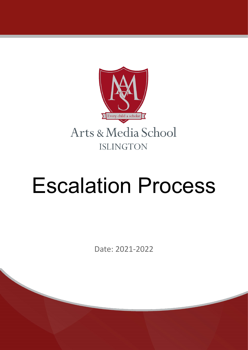

# Escalation Process

Date: 2021-2022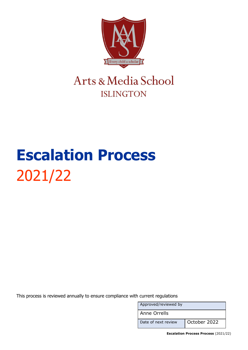

### Arts & Media School **ISLINGTON**

## **Escalation Process** 2021/22

This process is reviewed annually to ensure compliance with current regulations

Approved/reviewed by Anne Orrells Date of next review | October 2022

**Escalation Process Process** (2021/22)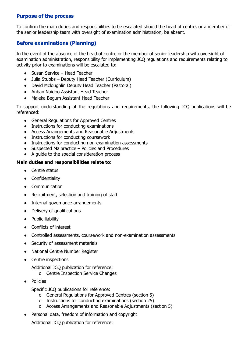#### **Purpose of the process**

To confirm the main duties and responsibilities to be escalated should the head of centre, or a member of the senior leadership team with oversight of examination administration, be absent.

#### **Before examinations (Planning)**

In the event of the absence of the head of centre or the member of senior leadership with oversight of examination administration, responsibility for implementing JCQ regulations and requirements relating to activity prior to examinations will be escalated to:

- Susan Service Head Teacher
- Julia Stubbs Deputy Head Teacher (Curriculum)
- David Mcloughlin Deputy Head Teacher (Pastoral)
- Anban Naidoo Assistant Head Teacher
- Maleka Begum Assistant Head Teacher

To support understanding of the regulations and requirements, the following JCQ publications will be referenced:

- General Regulations for Approved Centres
- Instructions for conducting examinations
- Access Arrangements and Reasonable Adjustments
- Instructions for conducting coursework
- Instructions for conducting non-examination assessments
- Suspected Malpractice Policies and Procedures
- A guide to the special consideration process

#### **Main duties and responsibilities relate to:**

- Centre status
- Confidentiality
- Communication
- Recruitment, selection and training of staff
- Internal governance arrangements
- Delivery of qualifications
- Public liability
- Conflicts of interest
- Controlled assessments, coursework and non-examination assessments
- Security of assessment materials
- National Centre Number Register
- Centre inspections
	- Additional JCQ publication for reference:
		- o Centre Inspection Service Changes
- **Policies** 
	- Specific JCQ publications for reference:
		- o General Regulations for Approved Centres (section 5)
		- o Instructions for conducting examinations (section 25)
		- o Access Arrangements and Reasonable Adjustments (section 5)
- Personal data, freedom of information and copyright

Additional JCQ publication for reference: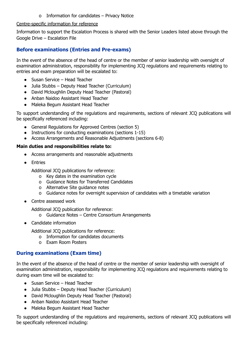o Information for candidates – Privacy Notice

#### Centre-specific information for reference

Information to support the Escalation Process is shared with the Senior Leaders listed above through the Google Drive – Escalation File

#### **Before examinations (Entries and Pre-exams)**

In the event of the absence of the head of centre or the member of senior leadership with oversight of examination administration, responsibility for implementing JCQ regulations and requirements relating to entries and exam preparation will be escalated to:

- Susan Service Head Teacher
- Julia Stubbs Deputy Head Teacher (Curriculum)
- David Mcloughlin Deputy Head Teacher (Pastoral)
- Anban Naidoo Assistant Head Teacher
- Maleka Begum Assistant Head Teacher

To support understanding of the regulations and requirements, sections of relevant JCQ publications will be specifically referenced including:

- General Regulations for Approved Centres (section 5)
- Instructions for conducting examinations (sections 1-15)
- Access Arrangements and Reasonable Adjustments (sections 6-8)

#### **Main duties and responsibilities relate to:**

- Access arrangements and reasonable adjustments
- Entries

Additional JCQ publications for reference:

- o Key dates in the examination cycle
- o Guidance Notes for Transferred Candidates
- o Alternative Site guidance notes
- o Guidance notes for overnight supervision of candidates with a timetable variation
- Centre assessed work

Additional JCQ publication for reference:

- o Guidance Notes Centre Consortium Arrangements
- Candidate information

Additional JCQ publications for reference:

- o Information for candidates documents
- o Exam Room Posters

#### **During examinations (Exam time)**

In the event of the absence of the head of centre or the member of senior leadership with oversight of examination administration, responsibility for implementing JCQ regulations and requirements relating to during exam time will be escalated to:

- Susan Service Head Teacher
- Julia Stubbs Deputy Head Teacher (Curriculum)
- David Mcloughlin Deputy Head Teacher (Pastoral)
- Anban Naidoo Assistant Head Teacher
- Maleka Begum Assistant Head Teacher

To support understanding of the regulations and requirements, sections of relevant JCQ publications will be specifically referenced including: